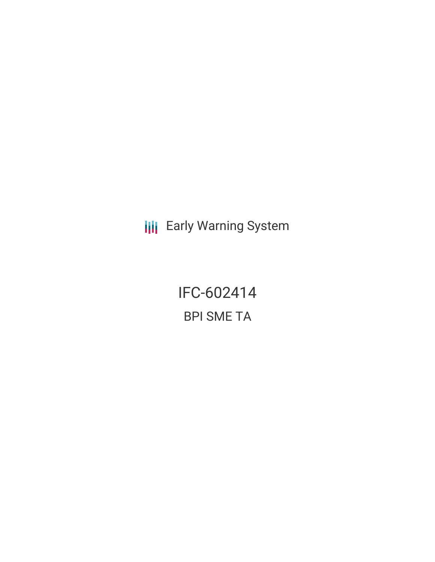**III** Early Warning System

IFC-602414 BPI SME TA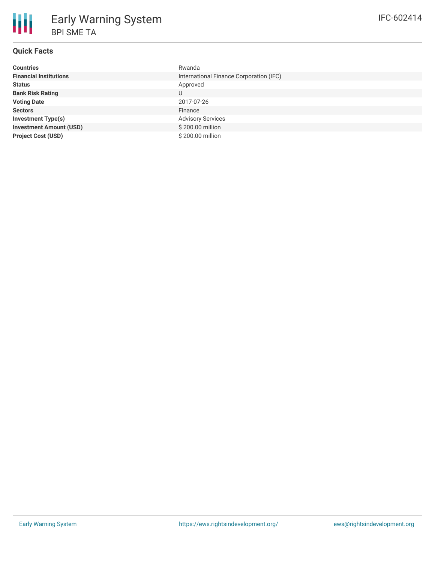# **Quick Facts**

| <b>Countries</b>               | Rwanda                                  |
|--------------------------------|-----------------------------------------|
| <b>Financial Institutions</b>  | International Finance Corporation (IFC) |
| <b>Status</b>                  | Approved                                |
| <b>Bank Risk Rating</b>        | U                                       |
| <b>Voting Date</b>             | 2017-07-26                              |
| <b>Sectors</b>                 | Finance                                 |
| <b>Investment Type(s)</b>      | <b>Advisory Services</b>                |
| <b>Investment Amount (USD)</b> | \$200.00 million                        |
| <b>Project Cost (USD)</b>      | \$200.00 million                        |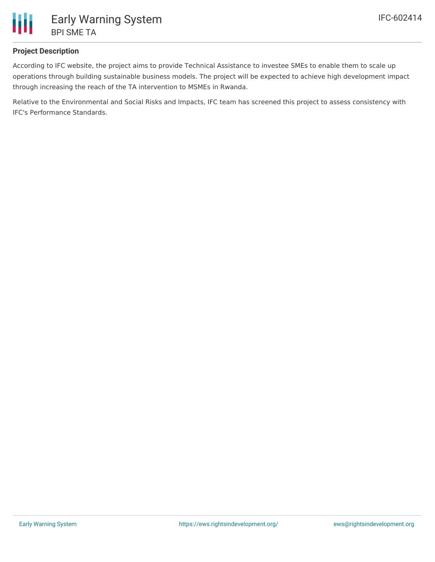

## **Project Description**

According to IFC website, the project aims to provide Technical Assistance to investee SMEs to enable them to scale up operations through building sustainable business models. The project will be expected to achieve high development impact through increasing the reach of the TA intervention to MSMEs in Rwanda.

Relative to the Environmental and Social Risks and Impacts, IFC team has screened this project to assess consistency with IFC's Performance Standards.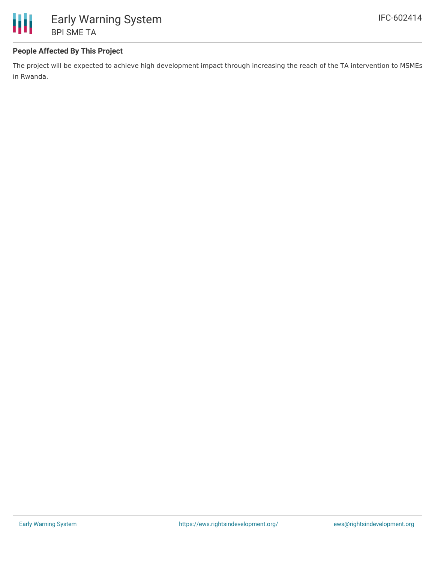

## **People Affected By This Project**

The project will be expected to achieve high development impact through increasing the reach of the TA intervention to MSMEs in Rwanda.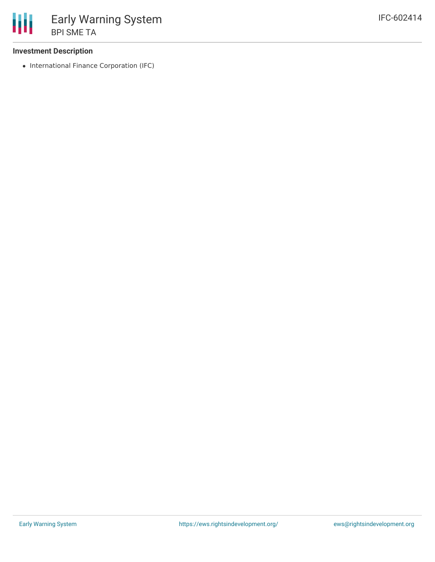#### **Investment Description**

• International Finance Corporation (IFC)